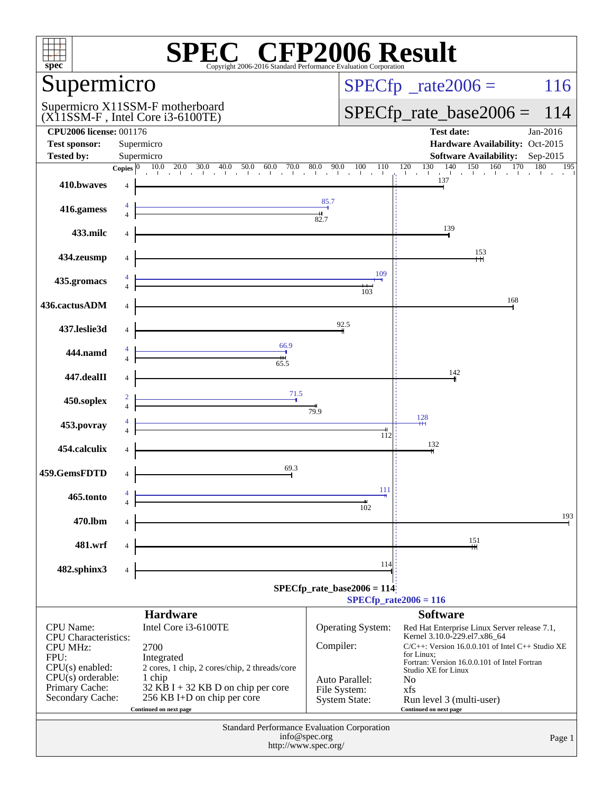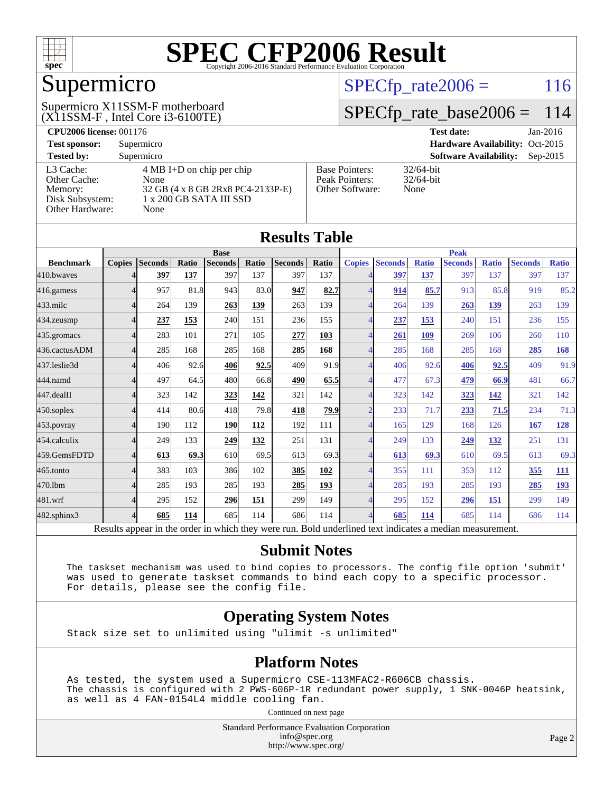

## Supermicro

(X11SSM-F , Intel Core i3-6100TE) Supermicro X11SSM-F motherboard  $SPECTp_rate2006 = 116$ 

#### [SPECfp\\_rate\\_base2006 =](http://www.spec.org/auto/cpu2006/Docs/result-fields.html#SPECfpratebase2006) 114

| <b>CPU2006 license: 001176</b> |                                     |                                 | <b>Test date:</b><br>$Jan-2016$             |
|--------------------------------|-------------------------------------|---------------------------------|---------------------------------------------|
| <b>Test sponsor:</b>           | Supermicro                          | Hardware Availability: Oct-2015 |                                             |
| <b>Tested by:</b>              | Supermicro                          |                                 | <b>Software Availability:</b><br>$Sep-2015$ |
| L3 Cache:                      | $4 \text{ MB I+D}$ on chip per chip | <b>Base Pointers:</b>           | $32/64$ -bit                                |
| Other Cache:                   | None                                | Peak Pointers:                  | $32/64$ -bit                                |
| Memory:                        | 32 GB (4 x 8 GB 2Rx8 PC4-2133P-E)   | Other Software:                 | None                                        |
| Disk Subsystem:                | 1 x 200 GB SATA III SSD             |                                 |                                             |
| Other Hardware:                | None                                |                                 |                                             |

| <b>Copies</b> | <b>Seconds</b><br>397 | Ratio      | <b>Base</b><br><b>Seconds</b> |                                        |                |                              |                            |                              |              |                |                        |                |                              |
|---------------|-----------------------|------------|-------------------------------|----------------------------------------|----------------|------------------------------|----------------------------|------------------------------|--------------|----------------|------------------------|----------------|------------------------------|
|               |                       |            |                               |                                        |                |                              | <b>Peak</b>                |                              |              |                |                        |                |                              |
|               |                       |            |                               | Ratio                                  | <b>Seconds</b> | <b>Ratio</b>                 | <b>Copies</b>              | <b>Seconds</b>               | <b>Ratio</b> | <b>Seconds</b> | <b>Ratio</b>           | <b>Seconds</b> | <b>Ratio</b>                 |
|               |                       | 137        | 397                           | 137                                    | 397            | 137                          |                            | 397                          | 137          | 397            | 137                    | 397            | 137                          |
|               | 957                   | 81.8       | 943                           | 83.0                                   | 947            | 82.7                         |                            | 914                          | 85.7         | 913            | 85.8                   | 919            | 85.2                         |
| Δ             | 264                   | 139        | 263                           | 139                                    | 263            | 139                          | 4                          | 264                          | 139          | 263            | 139                    | 263            | 139                          |
| 4             | 237                   | 153        | 240                           | 151                                    | 236            | 155                          | 4                          | 237                          | 153          | 240            | 151                    | 236            | 155                          |
| 4             | 283                   | 101        | 271                           | 105                                    | 277            | 103                          |                            | 261                          | 109          | 269            | 106                    | 260            | 110                          |
|               | 285                   | 168        | 285                           | 168                                    | 285            | 168                          |                            | 285                          | 168          | 285            | 168                    | 285            | <u>168</u>                   |
|               | 406                   |            | 406                           |                                        | 409            |                              |                            | 406                          | 92.6         | 406            |                        | 409            | 91.9                         |
|               | 497                   |            | 480                           |                                        | 490            |                              |                            | 477                          | 67.3         | 479            |                        | 481            | 66.7                         |
|               | 323                   | 142        | 323                           | 142                                    | 321            | 142                          | Δ                          | 323                          | 142          | 323            | 142                    | 321            | 142                          |
| 4             | 414                   |            | 418                           |                                        | 418            |                              | $\overline{2}$             | 233                          | 71.7         | 233            |                        | 234            | 71.3                         |
| 4             | 190                   | 112        | 190                           | 112                                    | 192            | 111                          | 4                          | 165                          | 129          | 168            | 126                    | 167            | <u>128</u>                   |
|               | 249                   | 133        | 249                           | 132                                    | 251            | 131                          |                            | 249                          | 133          | 249            | <u>132</u>             | 251            | 131                          |
|               | 613                   |            | 610                           |                                        | 613            |                              |                            | 613                          | 69.3         | 610            |                        | 613            | 69.3                         |
|               | 383                   | 103        | 386                           | 102                                    | 385            | 102                          |                            | 355                          | 111          | 353            | 112                    | 355            | <u>111</u>                   |
|               | 285                   | 193        | 285                           | 193                                    | 285            | 193                          |                            | 285                          | 193          | 285            | 193                    | 285            | <u>193</u>                   |
|               | 295                   | 152        | 296                           | 151                                    | 299            | 149                          |                            | 295                          | 152          | 296            | 151                    | 299            | 149                          |
| 4             | 685                   | 114        | 685                           | 114                                    | 686            | 114                          |                            | 685                          | 114          | 685            | 114                    | 686            | 114                          |
|               |                       | 1.11<br>14 |                               | 92.6<br>64.5<br>80.6<br>69.3<br>1.1111 | $1.3 - 1.41$   | 92.5<br>66.8<br>79.8<br>69.5 | $\mathbf{D}$ $\mathbf{11}$ | 91.9<br>65.5<br>79.9<br>69.3 | 11.11        | 11.141         | $\mathbf{1}^{\bullet}$ |                | 92.5<br>66.9<br>71.5<br>69.5 |

Results appear in the [order in which they were run.](http://www.spec.org/auto/cpu2006/Docs/result-fields.html#RunOrder) Bold underlined text [indicates a median measurement.](http://www.spec.org/auto/cpu2006/Docs/result-fields.html#Median)

#### **[Submit Notes](http://www.spec.org/auto/cpu2006/Docs/result-fields.html#SubmitNotes)**

 The taskset mechanism was used to bind copies to processors. The config file option 'submit' was used to generate taskset commands to bind each copy to a specific processor. For details, please see the config file.

#### **[Operating System Notes](http://www.spec.org/auto/cpu2006/Docs/result-fields.html#OperatingSystemNotes)**

Stack size set to unlimited using "ulimit -s unlimited"

#### **[Platform Notes](http://www.spec.org/auto/cpu2006/Docs/result-fields.html#PlatformNotes)**

 As tested, the system used a Supermicro CSE-113MFAC2-R606CB chassis. The chassis is configured with 2 PWS-606P-1R redundant power supply, 1 SNK-0046P heatsink, as well as 4 FAN-0154L4 middle cooling fan.

Continued on next page

Standard Performance Evaluation Corporation [info@spec.org](mailto:info@spec.org) <http://www.spec.org/>

Page 2

**[Results Table](http://www.spec.org/auto/cpu2006/Docs/result-fields.html#ResultsTable)**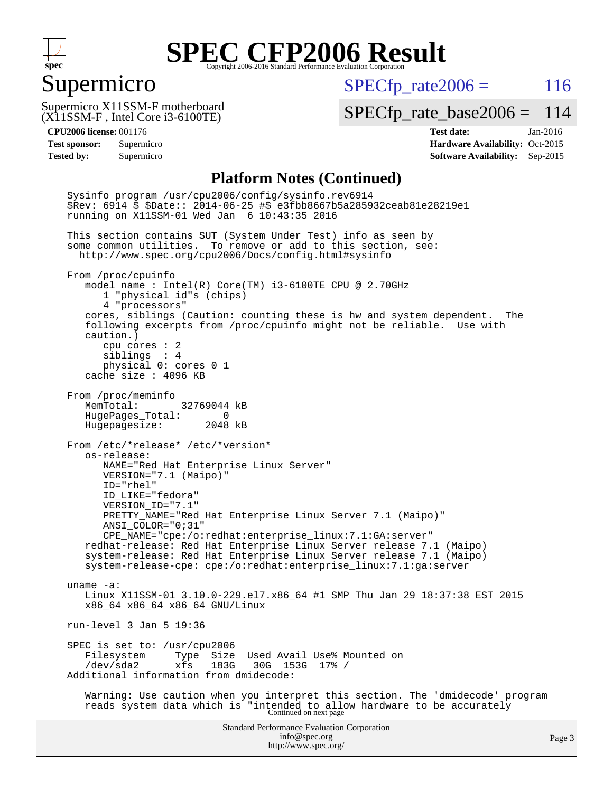

#### Supermicro

 $SPECTp_rate2006 = 116$ 

(X11SSM-F , Intel Core i3-6100TE) Supermicro X11SSM-F motherboard

[SPECfp\\_rate\\_base2006 =](http://www.spec.org/auto/cpu2006/Docs/result-fields.html#SPECfpratebase2006) 114

**[CPU2006 license:](http://www.spec.org/auto/cpu2006/Docs/result-fields.html#CPU2006license)** 001176 **[Test date:](http://www.spec.org/auto/cpu2006/Docs/result-fields.html#Testdate)** Jan-2016 **[Test sponsor:](http://www.spec.org/auto/cpu2006/Docs/result-fields.html#Testsponsor)** Supermicro Supermicro **[Hardware Availability:](http://www.spec.org/auto/cpu2006/Docs/result-fields.html#HardwareAvailability)** Oct-2015 **[Tested by:](http://www.spec.org/auto/cpu2006/Docs/result-fields.html#Testedby)** Supermicro **Supermicro [Software Availability:](http://www.spec.org/auto/cpu2006/Docs/result-fields.html#SoftwareAvailability)** Sep-2015

#### **[Platform Notes \(Continued\)](http://www.spec.org/auto/cpu2006/Docs/result-fields.html#PlatformNotes)**

Standard Performance Evaluation Corporation [info@spec.org](mailto:info@spec.org) <http://www.spec.org/> Page 3 Sysinfo program /usr/cpu2006/config/sysinfo.rev6914 \$Rev: 6914 \$ \$Date:: 2014-06-25 #\$ e3fbb8667b5a285932ceab81e28219e1 running on X11SSM-01 Wed Jan 6 10:43:35 2016 This section contains SUT (System Under Test) info as seen by some common utilities. To remove or add to this section, see: <http://www.spec.org/cpu2006/Docs/config.html#sysinfo> From /proc/cpuinfo model name : Intel(R) Core(TM) i3-6100TE CPU @ 2.70GHz 1 "physical id"s (chips) 4 "processors" cores, siblings (Caution: counting these is hw and system dependent. The following excerpts from /proc/cpuinfo might not be reliable. Use with caution.) cpu cores : 2 siblings : 4 physical 0: cores 0 1 cache size : 4096 KB From /proc/meminfo MemTotal: 32769044 kB HugePages\_Total: 0 Hugepagesize: 2048 kB From /etc/\*release\* /etc/\*version\* os-release: NAME="Red Hat Enterprise Linux Server" VERSION="7.1 (Maipo)" ID="rhel" ID\_LIKE="fedora" VERSION\_ID="7.1" PRETTY\_NAME="Red Hat Enterprise Linux Server 7.1 (Maipo)" ANSI\_COLOR="0;31" CPE\_NAME="cpe:/o:redhat:enterprise\_linux:7.1:GA:server" redhat-release: Red Hat Enterprise Linux Server release 7.1 (Maipo) system-release: Red Hat Enterprise Linux Server release 7.1 (Maipo) system-release-cpe: cpe:/o:redhat:enterprise\_linux:7.1:ga:server uname -a: Linux X11SSM-01 3.10.0-229.el7.x86\_64 #1 SMP Thu Jan 29 18:37:38 EST 2015 x86\_64 x86\_64 x86\_64 GNU/Linux run-level 3 Jan 5 19:36 SPEC is set to: /usr/cpu2006<br>Filesystem Type Size Filesystem Type Size Used Avail Use% Mounted on<br>/dev/sda2 xfs 183G 30G 153G 17% / /dev/sda2 xfs 183G 30G 153G 17% / Additional information from dmidecode: Warning: Use caution when you interpret this section. The 'dmidecode' program reads system data which is "intended to allow hardware to be accurately Continued on next page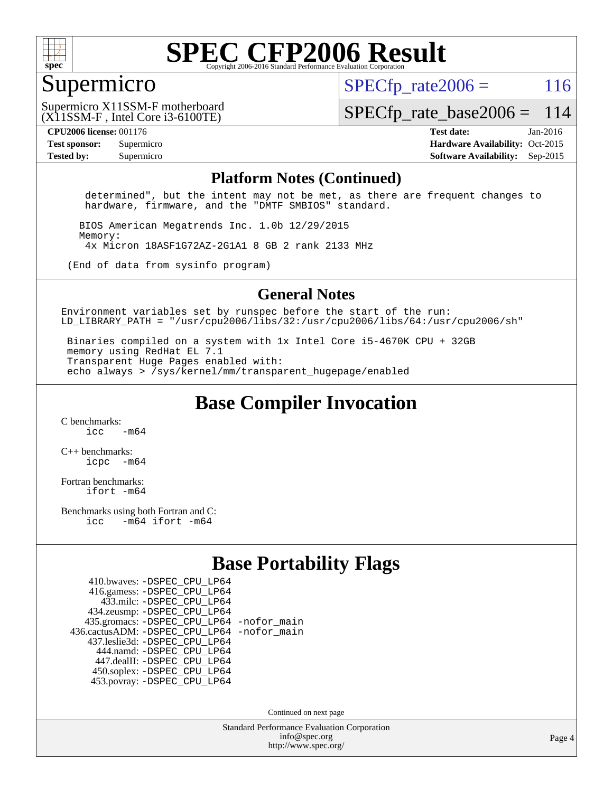

#### Supermicro

 $SPECTp\_rate2006 = 116$ 

(X11SSM-F , Intel Core i3-6100TE) Supermicro X11SSM-F motherboard

[SPECfp\\_rate\\_base2006 =](http://www.spec.org/auto/cpu2006/Docs/result-fields.html#SPECfpratebase2006) 114

**[CPU2006 license:](http://www.spec.org/auto/cpu2006/Docs/result-fields.html#CPU2006license)** 001176 **[Test date:](http://www.spec.org/auto/cpu2006/Docs/result-fields.html#Testdate)** Jan-2016

**[Test sponsor:](http://www.spec.org/auto/cpu2006/Docs/result-fields.html#Testsponsor)** Supermicro Supermicro **[Hardware Availability:](http://www.spec.org/auto/cpu2006/Docs/result-fields.html#HardwareAvailability)** Oct-2015 **[Tested by:](http://www.spec.org/auto/cpu2006/Docs/result-fields.html#Testedby)** Supermicro **Supermicro [Software Availability:](http://www.spec.org/auto/cpu2006/Docs/result-fields.html#SoftwareAvailability)** Sep-2015

#### **[Platform Notes \(Continued\)](http://www.spec.org/auto/cpu2006/Docs/result-fields.html#PlatformNotes)**

 determined", but the intent may not be met, as there are frequent changes to hardware, firmware, and the "DMTF SMBIOS" standard.

 BIOS American Megatrends Inc. 1.0b 12/29/2015 Memory: 4x Micron 18ASF1G72AZ-2G1A1 8 GB 2 rank 2133 MHz

(End of data from sysinfo program)

#### **[General Notes](http://www.spec.org/auto/cpu2006/Docs/result-fields.html#GeneralNotes)**

Environment variables set by runspec before the start of the run: LD LIBRARY PATH = "/usr/cpu2006/libs/32:/usr/cpu2006/libs/64:/usr/cpu2006/sh"

 Binaries compiled on a system with 1x Intel Core i5-4670K CPU + 32GB memory using RedHat EL 7.1 Transparent Huge Pages enabled with: echo always > /sys/kernel/mm/transparent\_hugepage/enabled

**[Base Compiler Invocation](http://www.spec.org/auto/cpu2006/Docs/result-fields.html#BaseCompilerInvocation)**

[C benchmarks](http://www.spec.org/auto/cpu2006/Docs/result-fields.html#Cbenchmarks):  $\frac{1}{2}$  cc  $-$  m64

[C++ benchmarks:](http://www.spec.org/auto/cpu2006/Docs/result-fields.html#CXXbenchmarks) [icpc -m64](http://www.spec.org/cpu2006/results/res2016q1/cpu2006-20160107-38621.flags.html#user_CXXbase_intel_icpc_64bit_bedb90c1146cab66620883ef4f41a67e)

[Fortran benchmarks](http://www.spec.org/auto/cpu2006/Docs/result-fields.html#Fortranbenchmarks): [ifort -m64](http://www.spec.org/cpu2006/results/res2016q1/cpu2006-20160107-38621.flags.html#user_FCbase_intel_ifort_64bit_ee9d0fb25645d0210d97eb0527dcc06e)

[Benchmarks using both Fortran and C](http://www.spec.org/auto/cpu2006/Docs/result-fields.html#BenchmarksusingbothFortranandC): [icc -m64](http://www.spec.org/cpu2006/results/res2016q1/cpu2006-20160107-38621.flags.html#user_CC_FCbase_intel_icc_64bit_0b7121f5ab7cfabee23d88897260401c) [ifort -m64](http://www.spec.org/cpu2006/results/res2016q1/cpu2006-20160107-38621.flags.html#user_CC_FCbase_intel_ifort_64bit_ee9d0fb25645d0210d97eb0527dcc06e)

#### **[Base Portability Flags](http://www.spec.org/auto/cpu2006/Docs/result-fields.html#BasePortabilityFlags)**

| 410.bwaves: - DSPEC CPU LP64                 |  |
|----------------------------------------------|--|
| 416.gamess: -DSPEC_CPU_LP64                  |  |
| 433.milc: -DSPEC CPU LP64                    |  |
| 434.zeusmp: -DSPEC_CPU_LP64                  |  |
| 435.gromacs: -DSPEC_CPU_LP64 -nofor_main     |  |
| 436.cactusADM: - DSPEC CPU LP64 - nofor main |  |
| 437.leslie3d: -DSPEC_CPU_LP64                |  |
| 444.namd: - DSPEC CPU LP64                   |  |
| 447.dealII: -DSPEC CPU LP64                  |  |
| 450.soplex: -DSPEC_CPU_LP64                  |  |
| 453.povray: -DSPEC CPU LP64                  |  |

Continued on next page

Standard Performance Evaluation Corporation [info@spec.org](mailto:info@spec.org) <http://www.spec.org/>

Page 4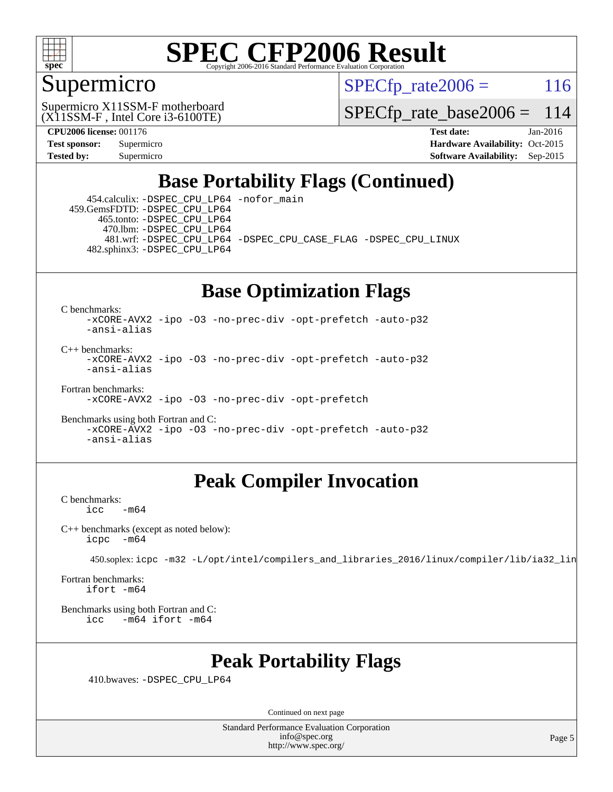

### Supermicro

 $SPECTp\_rate2006 = 116$ 

(X11SSM-F , Intel Core i3-6100TE) Supermicro X11SSM-F motherboard

[SPECfp\\_rate\\_base2006 =](http://www.spec.org/auto/cpu2006/Docs/result-fields.html#SPECfpratebase2006) 114

**[CPU2006 license:](http://www.spec.org/auto/cpu2006/Docs/result-fields.html#CPU2006license)** 001176 **[Test date:](http://www.spec.org/auto/cpu2006/Docs/result-fields.html#Testdate)** Jan-2016 **[Test sponsor:](http://www.spec.org/auto/cpu2006/Docs/result-fields.html#Testsponsor)** Supermicro Supermicro **[Hardware Availability:](http://www.spec.org/auto/cpu2006/Docs/result-fields.html#HardwareAvailability)** Oct-2015 **[Tested by:](http://www.spec.org/auto/cpu2006/Docs/result-fields.html#Testedby)** Supermicro **[Software Availability:](http://www.spec.org/auto/cpu2006/Docs/result-fields.html#SoftwareAvailability)** Sep-2015

## **[Base Portability Flags \(Continued\)](http://www.spec.org/auto/cpu2006/Docs/result-fields.html#BasePortabilityFlags)**

 454.calculix: [-DSPEC\\_CPU\\_LP64](http://www.spec.org/cpu2006/results/res2016q1/cpu2006-20160107-38621.flags.html#suite_basePORTABILITY454_calculix_DSPEC_CPU_LP64) [-nofor\\_main](http://www.spec.org/cpu2006/results/res2016q1/cpu2006-20160107-38621.flags.html#user_baseLDPORTABILITY454_calculix_f-nofor_main) 459.GemsFDTD: [-DSPEC\\_CPU\\_LP64](http://www.spec.org/cpu2006/results/res2016q1/cpu2006-20160107-38621.flags.html#suite_basePORTABILITY459_GemsFDTD_DSPEC_CPU_LP64) 465.tonto: [-DSPEC\\_CPU\\_LP64](http://www.spec.org/cpu2006/results/res2016q1/cpu2006-20160107-38621.flags.html#suite_basePORTABILITY465_tonto_DSPEC_CPU_LP64) 470.lbm: [-DSPEC\\_CPU\\_LP64](http://www.spec.org/cpu2006/results/res2016q1/cpu2006-20160107-38621.flags.html#suite_basePORTABILITY470_lbm_DSPEC_CPU_LP64) 481.wrf: [-DSPEC\\_CPU\\_LP64](http://www.spec.org/cpu2006/results/res2016q1/cpu2006-20160107-38621.flags.html#suite_basePORTABILITY481_wrf_DSPEC_CPU_LP64) [-DSPEC\\_CPU\\_CASE\\_FLAG](http://www.spec.org/cpu2006/results/res2016q1/cpu2006-20160107-38621.flags.html#b481.wrf_baseCPORTABILITY_DSPEC_CPU_CASE_FLAG) [-DSPEC\\_CPU\\_LINUX](http://www.spec.org/cpu2006/results/res2016q1/cpu2006-20160107-38621.flags.html#b481.wrf_baseCPORTABILITY_DSPEC_CPU_LINUX) 482.sphinx3: [-DSPEC\\_CPU\\_LP64](http://www.spec.org/cpu2006/results/res2016q1/cpu2006-20160107-38621.flags.html#suite_basePORTABILITY482_sphinx3_DSPEC_CPU_LP64)

## **[Base Optimization Flags](http://www.spec.org/auto/cpu2006/Docs/result-fields.html#BaseOptimizationFlags)**

[C benchmarks](http://www.spec.org/auto/cpu2006/Docs/result-fields.html#Cbenchmarks):

[-xCORE-AVX2](http://www.spec.org/cpu2006/results/res2016q1/cpu2006-20160107-38621.flags.html#user_CCbase_f-xAVX2_5f5fc0cbe2c9f62c816d3e45806c70d7) [-ipo](http://www.spec.org/cpu2006/results/res2016q1/cpu2006-20160107-38621.flags.html#user_CCbase_f-ipo) [-O3](http://www.spec.org/cpu2006/results/res2016q1/cpu2006-20160107-38621.flags.html#user_CCbase_f-O3) [-no-prec-div](http://www.spec.org/cpu2006/results/res2016q1/cpu2006-20160107-38621.flags.html#user_CCbase_f-no-prec-div) [-opt-prefetch](http://www.spec.org/cpu2006/results/res2016q1/cpu2006-20160107-38621.flags.html#user_CCbase_f-opt-prefetch) [-auto-p32](http://www.spec.org/cpu2006/results/res2016q1/cpu2006-20160107-38621.flags.html#user_CCbase_f-auto-p32) [-ansi-alias](http://www.spec.org/cpu2006/results/res2016q1/cpu2006-20160107-38621.flags.html#user_CCbase_f-ansi-alias)

 $C_{++}$  benchmarks: [-xCORE-AVX2](http://www.spec.org/cpu2006/results/res2016q1/cpu2006-20160107-38621.flags.html#user_CXXbase_f-xAVX2_5f5fc0cbe2c9f62c816d3e45806c70d7) [-ipo](http://www.spec.org/cpu2006/results/res2016q1/cpu2006-20160107-38621.flags.html#user_CXXbase_f-ipo) [-O3](http://www.spec.org/cpu2006/results/res2016q1/cpu2006-20160107-38621.flags.html#user_CXXbase_f-O3) [-no-prec-div](http://www.spec.org/cpu2006/results/res2016q1/cpu2006-20160107-38621.flags.html#user_CXXbase_f-no-prec-div) [-opt-prefetch](http://www.spec.org/cpu2006/results/res2016q1/cpu2006-20160107-38621.flags.html#user_CXXbase_f-opt-prefetch) [-auto-p32](http://www.spec.org/cpu2006/results/res2016q1/cpu2006-20160107-38621.flags.html#user_CXXbase_f-auto-p32) [-ansi-alias](http://www.spec.org/cpu2006/results/res2016q1/cpu2006-20160107-38621.flags.html#user_CXXbase_f-ansi-alias)

[Fortran benchmarks](http://www.spec.org/auto/cpu2006/Docs/result-fields.html#Fortranbenchmarks):

[-xCORE-AVX2](http://www.spec.org/cpu2006/results/res2016q1/cpu2006-20160107-38621.flags.html#user_FCbase_f-xAVX2_5f5fc0cbe2c9f62c816d3e45806c70d7) [-ipo](http://www.spec.org/cpu2006/results/res2016q1/cpu2006-20160107-38621.flags.html#user_FCbase_f-ipo) [-O3](http://www.spec.org/cpu2006/results/res2016q1/cpu2006-20160107-38621.flags.html#user_FCbase_f-O3) [-no-prec-div](http://www.spec.org/cpu2006/results/res2016q1/cpu2006-20160107-38621.flags.html#user_FCbase_f-no-prec-div) [-opt-prefetch](http://www.spec.org/cpu2006/results/res2016q1/cpu2006-20160107-38621.flags.html#user_FCbase_f-opt-prefetch)

[Benchmarks using both Fortran and C](http://www.spec.org/auto/cpu2006/Docs/result-fields.html#BenchmarksusingbothFortranandC): [-xCORE-AVX2](http://www.spec.org/cpu2006/results/res2016q1/cpu2006-20160107-38621.flags.html#user_CC_FCbase_f-xAVX2_5f5fc0cbe2c9f62c816d3e45806c70d7) [-ipo](http://www.spec.org/cpu2006/results/res2016q1/cpu2006-20160107-38621.flags.html#user_CC_FCbase_f-ipo) [-O3](http://www.spec.org/cpu2006/results/res2016q1/cpu2006-20160107-38621.flags.html#user_CC_FCbase_f-O3) [-no-prec-div](http://www.spec.org/cpu2006/results/res2016q1/cpu2006-20160107-38621.flags.html#user_CC_FCbase_f-no-prec-div) [-opt-prefetch](http://www.spec.org/cpu2006/results/res2016q1/cpu2006-20160107-38621.flags.html#user_CC_FCbase_f-opt-prefetch) [-auto-p32](http://www.spec.org/cpu2006/results/res2016q1/cpu2006-20160107-38621.flags.html#user_CC_FCbase_f-auto-p32) [-ansi-alias](http://www.spec.org/cpu2006/results/res2016q1/cpu2006-20160107-38621.flags.html#user_CC_FCbase_f-ansi-alias)

### **[Peak Compiler Invocation](http://www.spec.org/auto/cpu2006/Docs/result-fields.html#PeakCompilerInvocation)**

[C benchmarks](http://www.spec.org/auto/cpu2006/Docs/result-fields.html#Cbenchmarks):  $-m64$ 

[C++ benchmarks \(except as noted below\):](http://www.spec.org/auto/cpu2006/Docs/result-fields.html#CXXbenchmarksexceptasnotedbelow) [icpc -m64](http://www.spec.org/cpu2006/results/res2016q1/cpu2006-20160107-38621.flags.html#user_CXXpeak_intel_icpc_64bit_bedb90c1146cab66620883ef4f41a67e)

450.soplex: [icpc -m32 -L/opt/intel/compilers\\_and\\_libraries\\_2016/linux/compiler/lib/ia32\\_lin](http://www.spec.org/cpu2006/results/res2016q1/cpu2006-20160107-38621.flags.html#user_peakCXXLD450_soplex_intel_icpc_b4f50a394bdb4597aa5879c16bc3f5c5)

[Fortran benchmarks](http://www.spec.org/auto/cpu2006/Docs/result-fields.html#Fortranbenchmarks): [ifort -m64](http://www.spec.org/cpu2006/results/res2016q1/cpu2006-20160107-38621.flags.html#user_FCpeak_intel_ifort_64bit_ee9d0fb25645d0210d97eb0527dcc06e)

[Benchmarks using both Fortran and C](http://www.spec.org/auto/cpu2006/Docs/result-fields.html#BenchmarksusingbothFortranandC): [icc -m64](http://www.spec.org/cpu2006/results/res2016q1/cpu2006-20160107-38621.flags.html#user_CC_FCpeak_intel_icc_64bit_0b7121f5ab7cfabee23d88897260401c) [ifort -m64](http://www.spec.org/cpu2006/results/res2016q1/cpu2006-20160107-38621.flags.html#user_CC_FCpeak_intel_ifort_64bit_ee9d0fb25645d0210d97eb0527dcc06e)

### **[Peak Portability Flags](http://www.spec.org/auto/cpu2006/Docs/result-fields.html#PeakPortabilityFlags)**

410.bwaves: [-DSPEC\\_CPU\\_LP64](http://www.spec.org/cpu2006/results/res2016q1/cpu2006-20160107-38621.flags.html#suite_peakPORTABILITY410_bwaves_DSPEC_CPU_LP64)

Continued on next page

Standard Performance Evaluation Corporation [info@spec.org](mailto:info@spec.org) <http://www.spec.org/>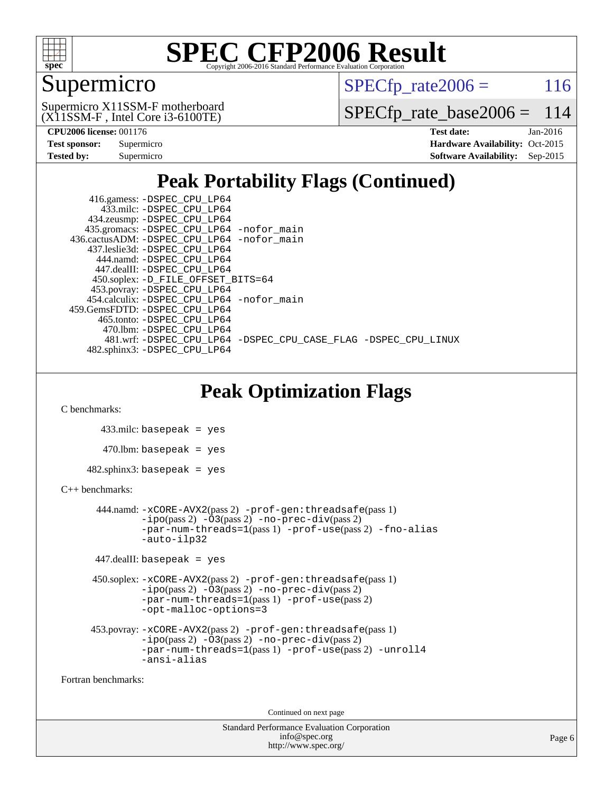

## Supermicro

 $SPECTp\_rate2006 = 116$ 

(X11SSM-F , Intel Core i3-6100TE) Supermicro X11SSM-F motherboard

[SPECfp\\_rate\\_base2006 =](http://www.spec.org/auto/cpu2006/Docs/result-fields.html#SPECfpratebase2006) 114

| <b>Test sponsor:</b> | Supermicro |
|----------------------|------------|
| <b>Tested by:</b>    | Supermicro |

**[CPU2006 license:](http://www.spec.org/auto/cpu2006/Docs/result-fields.html#CPU2006license)** 001176 **[Test date:](http://www.spec.org/auto/cpu2006/Docs/result-fields.html#Testdate)** Jan-2016 **[Hardware Availability:](http://www.spec.org/auto/cpu2006/Docs/result-fields.html#HardwareAvailability)** Oct-2015 **[Software Availability:](http://www.spec.org/auto/cpu2006/Docs/result-fields.html#SoftwareAvailability)** Sep-2015

## **[Peak Portability Flags \(Continued\)](http://www.spec.org/auto/cpu2006/Docs/result-fields.html#PeakPortabilityFlags)**

 416.gamess: [-DSPEC\\_CPU\\_LP64](http://www.spec.org/cpu2006/results/res2016q1/cpu2006-20160107-38621.flags.html#suite_peakPORTABILITY416_gamess_DSPEC_CPU_LP64) 433.milc: [-DSPEC\\_CPU\\_LP64](http://www.spec.org/cpu2006/results/res2016q1/cpu2006-20160107-38621.flags.html#suite_peakPORTABILITY433_milc_DSPEC_CPU_LP64) 434.zeusmp: [-DSPEC\\_CPU\\_LP64](http://www.spec.org/cpu2006/results/res2016q1/cpu2006-20160107-38621.flags.html#suite_peakPORTABILITY434_zeusmp_DSPEC_CPU_LP64) 435.gromacs: [-DSPEC\\_CPU\\_LP64](http://www.spec.org/cpu2006/results/res2016q1/cpu2006-20160107-38621.flags.html#suite_peakPORTABILITY435_gromacs_DSPEC_CPU_LP64) [-nofor\\_main](http://www.spec.org/cpu2006/results/res2016q1/cpu2006-20160107-38621.flags.html#user_peakLDPORTABILITY435_gromacs_f-nofor_main) 436.cactusADM: [-DSPEC\\_CPU\\_LP64](http://www.spec.org/cpu2006/results/res2016q1/cpu2006-20160107-38621.flags.html#suite_peakPORTABILITY436_cactusADM_DSPEC_CPU_LP64) [-nofor\\_main](http://www.spec.org/cpu2006/results/res2016q1/cpu2006-20160107-38621.flags.html#user_peakLDPORTABILITY436_cactusADM_f-nofor_main) 437.leslie3d: [-DSPEC\\_CPU\\_LP64](http://www.spec.org/cpu2006/results/res2016q1/cpu2006-20160107-38621.flags.html#suite_peakPORTABILITY437_leslie3d_DSPEC_CPU_LP64) 444.namd: [-DSPEC\\_CPU\\_LP64](http://www.spec.org/cpu2006/results/res2016q1/cpu2006-20160107-38621.flags.html#suite_peakPORTABILITY444_namd_DSPEC_CPU_LP64) 447.dealII: [-DSPEC\\_CPU\\_LP64](http://www.spec.org/cpu2006/results/res2016q1/cpu2006-20160107-38621.flags.html#suite_peakPORTABILITY447_dealII_DSPEC_CPU_LP64) 450.soplex: [-D\\_FILE\\_OFFSET\\_BITS=64](http://www.spec.org/cpu2006/results/res2016q1/cpu2006-20160107-38621.flags.html#user_peakPORTABILITY450_soplex_file_offset_bits_64_438cf9856305ebd76870a2c6dc2689ab) 453.povray: [-DSPEC\\_CPU\\_LP64](http://www.spec.org/cpu2006/results/res2016q1/cpu2006-20160107-38621.flags.html#suite_peakPORTABILITY453_povray_DSPEC_CPU_LP64) 454.calculix: [-DSPEC\\_CPU\\_LP64](http://www.spec.org/cpu2006/results/res2016q1/cpu2006-20160107-38621.flags.html#suite_peakPORTABILITY454_calculix_DSPEC_CPU_LP64) [-nofor\\_main](http://www.spec.org/cpu2006/results/res2016q1/cpu2006-20160107-38621.flags.html#user_peakLDPORTABILITY454_calculix_f-nofor_main) 459.GemsFDTD: [-DSPEC\\_CPU\\_LP64](http://www.spec.org/cpu2006/results/res2016q1/cpu2006-20160107-38621.flags.html#suite_peakPORTABILITY459_GemsFDTD_DSPEC_CPU_LP64) 465.tonto: [-DSPEC\\_CPU\\_LP64](http://www.spec.org/cpu2006/results/res2016q1/cpu2006-20160107-38621.flags.html#suite_peakPORTABILITY465_tonto_DSPEC_CPU_LP64) 470.lbm: [-DSPEC\\_CPU\\_LP64](http://www.spec.org/cpu2006/results/res2016q1/cpu2006-20160107-38621.flags.html#suite_peakPORTABILITY470_lbm_DSPEC_CPU_LP64) 481.wrf: [-DSPEC\\_CPU\\_LP64](http://www.spec.org/cpu2006/results/res2016q1/cpu2006-20160107-38621.flags.html#suite_peakPORTABILITY481_wrf_DSPEC_CPU_LP64) [-DSPEC\\_CPU\\_CASE\\_FLAG](http://www.spec.org/cpu2006/results/res2016q1/cpu2006-20160107-38621.flags.html#b481.wrf_peakCPORTABILITY_DSPEC_CPU_CASE_FLAG) [-DSPEC\\_CPU\\_LINUX](http://www.spec.org/cpu2006/results/res2016q1/cpu2006-20160107-38621.flags.html#b481.wrf_peakCPORTABILITY_DSPEC_CPU_LINUX) 482.sphinx3: [-DSPEC\\_CPU\\_LP64](http://www.spec.org/cpu2006/results/res2016q1/cpu2006-20160107-38621.flags.html#suite_peakPORTABILITY482_sphinx3_DSPEC_CPU_LP64)

## **[Peak Optimization Flags](http://www.spec.org/auto/cpu2006/Docs/result-fields.html#PeakOptimizationFlags)**

[C benchmarks](http://www.spec.org/auto/cpu2006/Docs/result-fields.html#Cbenchmarks):

```
 433.milc: basepeak = yes
   470.lbm: basepeak = yes
482.sphinx3: basepeak = yes
```
#### [C++ benchmarks:](http://www.spec.org/auto/cpu2006/Docs/result-fields.html#CXXbenchmarks)

```
 444.namd: -xCORE-AVX2(pass 2) -prof-gen:threadsafe(pass 1)
       -no-prec-div(pass 2)-par-num-threads=1(pass 1) -prof-use(pass 2) -fno-alias
       -auto-ilp32
```

```
 447.dealII: basepeak = yes
```

```
 450.soplex: -xCORE-AVX2(pass 2) -prof-gen:threadsafe(pass 1)
          -i\text{po}(pass 2) -\overline{O}3(pass 2)-no-prec-div(pass 2)
          -par-num-threads=1(pass 1) -prof-use(pass 2)
          -opt-malloc-options=3
```

```
 453.povray: -xCORE-AVX2(pass 2) -prof-gen:threadsafe(pass 1)
          -i\text{po}(pass 2) -\tilde{O}3(pass 2)-no-prec-div(pass 2)
          -par-num-threads=1(pass 1) -prof-use(pass 2) -unroll4
          -ansi-alias
```
[Fortran benchmarks](http://www.spec.org/auto/cpu2006/Docs/result-fields.html#Fortranbenchmarks):

Continued on next page

```
Standard Performance Evaluation Corporation
             info@spec.org
           http://www.spec.org/
```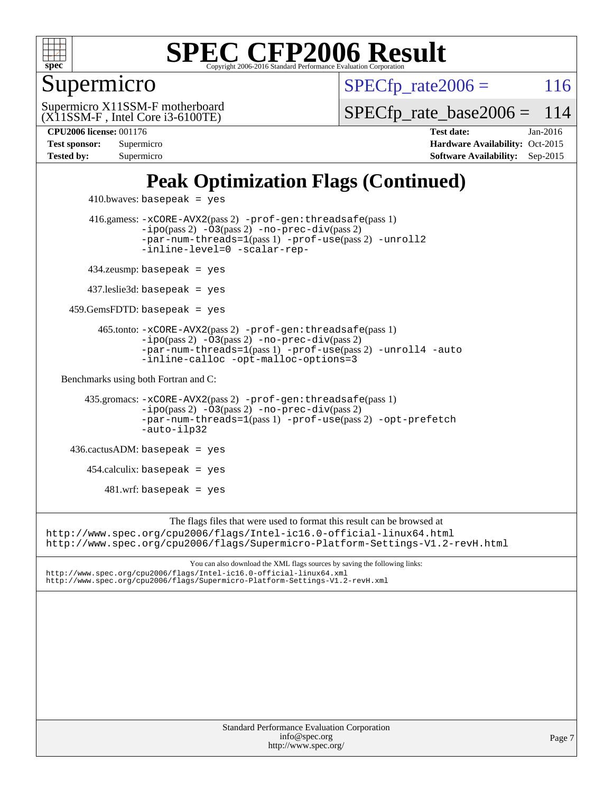

#### Supermicro

 $SPECTp\_rate2006 = 116$ 

(X11SSM-F , Intel Core i3-6100TE) Supermicro X11SSM-F motherboard [SPECfp\\_rate\\_base2006 =](http://www.spec.org/auto/cpu2006/Docs/result-fields.html#SPECfpratebase2006) 114

**[CPU2006 license:](http://www.spec.org/auto/cpu2006/Docs/result-fields.html#CPU2006license)** 001176 **[Test date:](http://www.spec.org/auto/cpu2006/Docs/result-fields.html#Testdate)** Jan-2016 **[Test sponsor:](http://www.spec.org/auto/cpu2006/Docs/result-fields.html#Testsponsor)** Supermicro Supermicro **[Hardware Availability:](http://www.spec.org/auto/cpu2006/Docs/result-fields.html#HardwareAvailability)** Oct-2015 **[Tested by:](http://www.spec.org/auto/cpu2006/Docs/result-fields.html#Testedby)** Supermicro **[Software Availability:](http://www.spec.org/auto/cpu2006/Docs/result-fields.html#SoftwareAvailability)** Sep-2015

## **[Peak Optimization Flags \(Continued\)](http://www.spec.org/auto/cpu2006/Docs/result-fields.html#PeakOptimizationFlags)**

```
410.bwaves: basepeak = yes 416.gamess: -xCORE-AVX2(pass 2) -prof-gen:threadsafe(pass 1)
                  -no-prec-div(pass 2)-par-num-threads=1(pass 1) -prof-use(pass 2) -unroll2
                  -inline-level=0 -scalar-rep-
         434.zeusmp: basepeak = yes
        437.leslie3d: basepeak = yes
     459.GemsFDTD: basepeak = yes
          465.tonto: -xCORE-AVX2(pass 2) -prof-gen:threadsafe(pass 1)
                  -no-prec-div(pass 2)-par-num-threads=1(pass 1) -prof-use(pass 2) -unroll4 -auto
                  -inline-calloc -opt-malloc-options=3
  Benchmarks using both Fortran and C: 
        435.gromacs: -xCORE-AVX2(pass 2) -prof-gen:threadsafe(pass 1)
                  -no-prec-div(pass 2)-par-num-threads=1(pass 1) -prof-use(pass 2) -opt-prefetch
                  -auto-ilp32
     436.cactusADM: basepeak = yes
       454.calculix: basepeak = yes
           481.wrf: basepeak = yes
                       The flags files that were used to format this result can be browsed at
http://www.spec.org/cpu2006/flags/Intel-ic16.0-official-linux64.html
http://www.spec.org/cpu2006/flags/Supermicro-Platform-Settings-V1.2-revH.html
                           You can also download the XML flags sources by saving the following links:
http://www.spec.org/cpu2006/flags/Intel-ic16.0-official-linux64.xml
http://www.spec.org/cpu2006/flags/Supermicro-Platform-Settings-V1.2-revH.xml
```